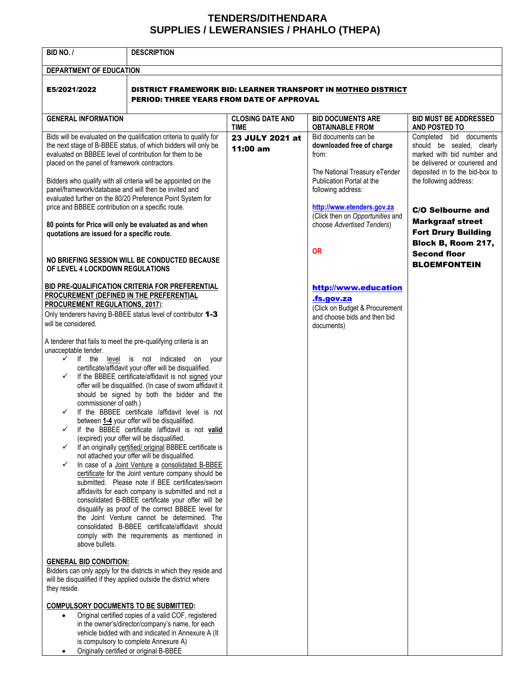## **TENDERS/DITHENDARA SUPPLIES / LEWERANSIES / PHAHLO (THEPA)**

| BID NO. /                                                                                                                                                                                                                                                                                                                                                                                                                                                                                                                                                                                                                                                                                                                                                                                                                                                                                                                                                                                                                                                                                                                                                                                                                                                                                                                                                                                                                                                                                                         | <b>DESCRIPTION</b>                                                                                                                                                                                                                                  |                                        |                                                                                                                                                                                                                  |                                                                                                                                                                                                             |  |
|-------------------------------------------------------------------------------------------------------------------------------------------------------------------------------------------------------------------------------------------------------------------------------------------------------------------------------------------------------------------------------------------------------------------------------------------------------------------------------------------------------------------------------------------------------------------------------------------------------------------------------------------------------------------------------------------------------------------------------------------------------------------------------------------------------------------------------------------------------------------------------------------------------------------------------------------------------------------------------------------------------------------------------------------------------------------------------------------------------------------------------------------------------------------------------------------------------------------------------------------------------------------------------------------------------------------------------------------------------------------------------------------------------------------------------------------------------------------------------------------------------------------|-----------------------------------------------------------------------------------------------------------------------------------------------------------------------------------------------------------------------------------------------------|----------------------------------------|------------------------------------------------------------------------------------------------------------------------------------------------------------------------------------------------------------------|-------------------------------------------------------------------------------------------------------------------------------------------------------------------------------------------------------------|--|
| DEPARTMENT OF EDUCATION                                                                                                                                                                                                                                                                                                                                                                                                                                                                                                                                                                                                                                                                                                                                                                                                                                                                                                                                                                                                                                                                                                                                                                                                                                                                                                                                                                                                                                                                                           |                                                                                                                                                                                                                                                     |                                        |                                                                                                                                                                                                                  |                                                                                                                                                                                                             |  |
| E5/2021/2022                                                                                                                                                                                                                                                                                                                                                                                                                                                                                                                                                                                                                                                                                                                                                                                                                                                                                                                                                                                                                                                                                                                                                                                                                                                                                                                                                                                                                                                                                                      | DISTRICT FRAMEWORK BID: LEARNER TRANSPORT IN MOTHEO DISTRICT<br><b>PERIOD: THREE YEARS FROM DATE OF APPROVAL</b>                                                                                                                                    |                                        |                                                                                                                                                                                                                  |                                                                                                                                                                                                             |  |
| <b>GENERAL INFORMATION</b>                                                                                                                                                                                                                                                                                                                                                                                                                                                                                                                                                                                                                                                                                                                                                                                                                                                                                                                                                                                                                                                                                                                                                                                                                                                                                                                                                                                                                                                                                        |                                                                                                                                                                                                                                                     | <b>CLOSING DATE AND</b><br><b>TIME</b> | <b>BID DOCUMENTS ARE</b><br><b>OBTAINABLE FROM</b>                                                                                                                                                               | <b>BID MUST BE ADDRESSED</b><br>AND POSTED TO                                                                                                                                                               |  |
| Bids will be evaluated on the qualification criteria to qualify for<br>the next stage of B-BBEE status, of which bidders will only be<br>evaluated on BBBEE level of contribution for them to be<br>placed on the panel of framework contractors.<br>Bidders who qualify with all criteria will be appointed on the<br>panel/framework/database and will then be invited and<br>evaluated further on the 80/20 Preference Point System for<br>price and BBBEE contribution on a specific route.                                                                                                                                                                                                                                                                                                                                                                                                                                                                                                                                                                                                                                                                                                                                                                                                                                                                                                                                                                                                                   |                                                                                                                                                                                                                                                     | 23 JULY 2021 at<br>11:00 am            | Bid documents can be<br>downloaded free of charge<br>from:<br>The National Treasury eTender<br>Publication Portal at the<br>following address:<br>http://www.etenders.gov.za<br>(Click then on Opportunities and | Completed bid documents<br>should be sealed, clearly<br>marked with bid number and<br>be delivered or couriered and<br>deposited in to the bid-box to<br>the following address:<br><b>C/O Selbourne and</b> |  |
| 80 points for Price will only be evaluated as and when<br>quotations are issued for a specific route.                                                                                                                                                                                                                                                                                                                                                                                                                                                                                                                                                                                                                                                                                                                                                                                                                                                                                                                                                                                                                                                                                                                                                                                                                                                                                                                                                                                                             |                                                                                                                                                                                                                                                     |                                        | choose Advertised Tenders)                                                                                                                                                                                       | <b>Markgraaf street</b><br><b>Fort Drury Building</b>                                                                                                                                                       |  |
| NO BRIEFING SESSION WILL BE CONDUCTED BECAUSE<br>OF LEVEL 4 LOCKDOWN REGULATIONS                                                                                                                                                                                                                                                                                                                                                                                                                                                                                                                                                                                                                                                                                                                                                                                                                                                                                                                                                                                                                                                                                                                                                                                                                                                                                                                                                                                                                                  |                                                                                                                                                                                                                                                     |                                        | <b>OR</b>                                                                                                                                                                                                        | Block B, Room 217,<br><b>Second floor</b><br><b>BLOEMFONTEIN</b>                                                                                                                                            |  |
| BID PRE-QUALIFICATION CRITERIA FOR PREFERENTIAL<br>PROCUREMENT (DEFINED IN THE PREFERENTIAL<br><b>PROCUREMENT REGULATIONS, 2017):</b><br>Only tenderers having B-BBEE status level of contributor 1-3<br>will be considered.<br>A tenderer that fails to meet the pre-qualifying criteria is an<br>unacceptable tender.<br>$\checkmark$<br>If the level is not indicated<br>on your<br>certificate/affidavit your offer will be disqualified.<br>If the BBBEE certificate/affidavit is not signed your<br>✓<br>offer will be disqualified. (In case of sworn affidavit it<br>should be signed by both the bidder and the<br>commissioner of oath.)<br>If the BBBEE certificate /affidavit level is not<br>between 1-4 your offer will be disqualified.<br>If the BBBEE certificate /affidavit is not valid<br>✓<br>(expired) your offer will be disqualified.<br>If an originally certified/ original BBBEE certificate is<br>$\checkmark$<br>not attached your offer will be disqualified.<br>In case of a Joint Venture a consolidated B-BBEE<br>$\checkmark$<br>certificate for the Joint venture company should be<br>submitted. Please note if BEE certificates/sworn<br>affidavits for each company is submitted and not a<br>consolidated B-BBEE certificate your offer will be<br>disqualify as proof of the correct BBBEE level for<br>the Joint Venture cannot be determined. The<br>consolidated B-BBEE certificate/affidavit should<br>comply with the requirements as mentioned in<br>above bullets. |                                                                                                                                                                                                                                                     |                                        | http://www.education<br><u>fs.gov.za</u><br>(Click on Budget & Procurement<br>and choose bids and then bid<br>documents)                                                                                         |                                                                                                                                                                                                             |  |
| <b>GENERAL BID CONDITION:</b><br>Bidders can only apply for the districts in which they reside and<br>will be disqualified if they applied outside the district where<br>they reside.                                                                                                                                                                                                                                                                                                                                                                                                                                                                                                                                                                                                                                                                                                                                                                                                                                                                                                                                                                                                                                                                                                                                                                                                                                                                                                                             |                                                                                                                                                                                                                                                     |                                        |                                                                                                                                                                                                                  |                                                                                                                                                                                                             |  |
| <b>COMPULSORY DOCUMENTS TO BE SUBMITTED:</b><br>$\bullet$<br>$\bullet$                                                                                                                                                                                                                                                                                                                                                                                                                                                                                                                                                                                                                                                                                                                                                                                                                                                                                                                                                                                                                                                                                                                                                                                                                                                                                                                                                                                                                                            | Original certified copies of a valid COF, registered<br>in the owner's/director/company's name, for each<br>vehicle bidded with and indicated in Annexure A (It<br>is compulsory to complete Annexure A)<br>Originally certified or original B-BBEE |                                        |                                                                                                                                                                                                                  |                                                                                                                                                                                                             |  |